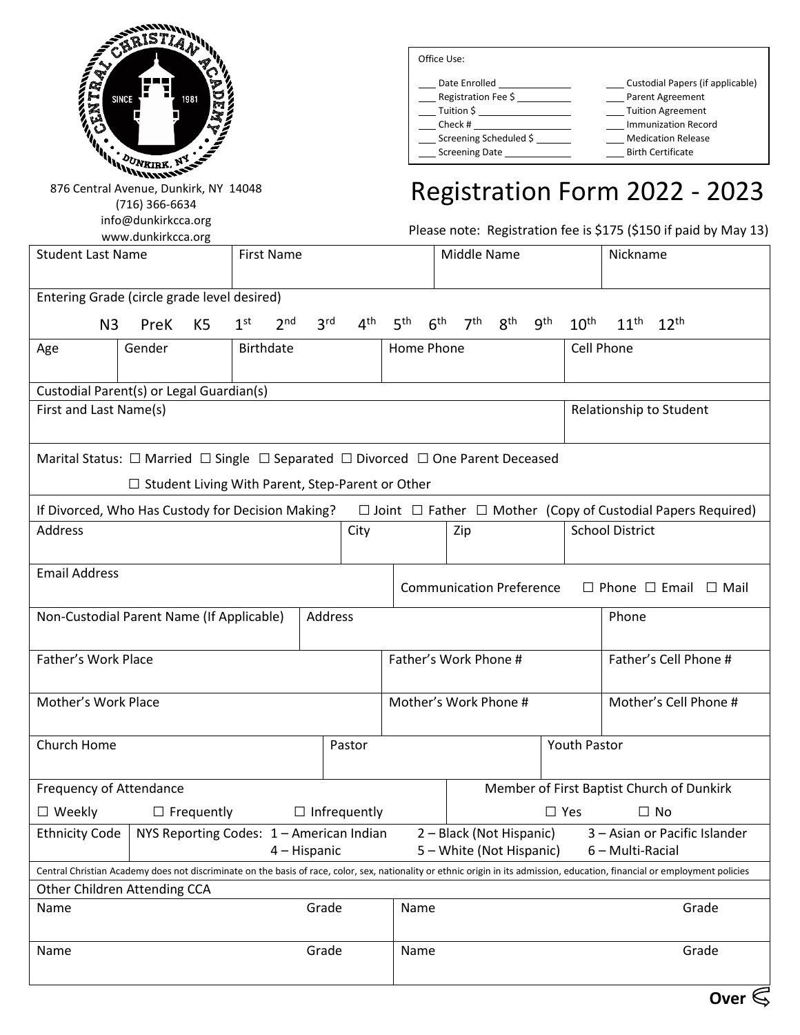

(716) 366-6634

info@dunkirkcca.org www.dunkirkcca.org

Office Use:

| Date Enrolled                                                                        | Custodial Papers (if applicable) |
|--------------------------------------------------------------------------------------|----------------------------------|
| Registration Fee \$                                                                  | Parent Agreement                 |
| Tuition \$                                                                           | <b>Tuition Agreement</b>         |
| Check #                                                                              | <b>Immunization Record</b>       |
| Screening Scheduled \$                                                               | <b>Medication Release</b>        |
| Screening Date but the state of the state of the state of the state of the Screening | <b>Birth Certificate</b>         |
|                                                                                      |                                  |

## Registration Form 2022 - 2023

Please note: Registration fee is \$175 (\$150 if paid by May 13)

| <b>Student Last Name</b>                                                                                                                                                              |        |                   |                     | <b>First Name</b> |                 |                                           |                               |                         | Middle Name     |  | Nickname              |               |       |                                                                                                                                         |  |
|---------------------------------------------------------------------------------------------------------------------------------------------------------------------------------------|--------|-------------------|---------------------|-------------------|-----------------|-------------------------------------------|-------------------------------|-------------------------|-----------------|--|-----------------------|---------------|-------|-----------------------------------------------------------------------------------------------------------------------------------------|--|
| Entering Grade (circle grade level desired)                                                                                                                                           |        |                   |                     |                   |                 |                                           |                               |                         |                 |  |                       |               |       |                                                                                                                                         |  |
| N <sub>3</sub>                                                                                                                                                                        | PreK   | K <sub>5</sub>    | 1 <sup>st</sup>     | 2 <sup>nd</sup>   | 3 <sup>rd</sup> | 4 <sup>th</sup>                           | 5 <sup>th</sup>               | 6 <sup>th</sup>         | 7 <sup>th</sup> |  | $8^{th}$ $9^{th}$     | $10^{\sf th}$ |       | $11^{th}$ $12^{th}$                                                                                                                     |  |
| Age                                                                                                                                                                                   | Gender |                   |                     | <b>Birthdate</b>  |                 |                                           | Home Phone                    |                         |                 |  |                       | Cell Phone    |       |                                                                                                                                         |  |
| Custodial Parent(s) or Legal Guardian(s)                                                                                                                                              |        |                   |                     |                   |                 |                                           |                               |                         |                 |  |                       |               |       |                                                                                                                                         |  |
| First and Last Name(s)<br>Relationship to Student                                                                                                                                     |        |                   |                     |                   |                 |                                           |                               |                         |                 |  |                       |               |       |                                                                                                                                         |  |
| Marital Status: $\Box$ Married $\Box$ Single $\Box$ Separated $\Box$ Divorced $\Box$ One Parent Deceased<br>$\Box$ Student Living With Parent, Step-Parent or Other                   |        |                   |                     |                   |                 |                                           |                               |                         |                 |  |                       |               |       |                                                                                                                                         |  |
|                                                                                                                                                                                       |        |                   |                     |                   |                 |                                           |                               |                         |                 |  |                       |               |       | If Divorced, Who Has Custody for Decision Making? $\square$ Joint $\square$ Father $\square$ Mother (Copy of Custodial Papers Required) |  |
| Address                                                                                                                                                                               | City   |                   |                     |                   |                 |                                           | <b>School District</b><br>Zip |                         |                 |  |                       |               |       |                                                                                                                                         |  |
| <b>Email Address</b><br><b>Communication Preference</b><br>$\Box$ Phone $\Box$ Email $\Box$ Mail                                                                                      |        |                   |                     |                   |                 |                                           |                               |                         |                 |  |                       |               |       |                                                                                                                                         |  |
| Non-Custodial Parent Name (If Applicable)<br>Address                                                                                                                                  |        |                   |                     |                   |                 | Phone                                     |                               |                         |                 |  |                       |               |       |                                                                                                                                         |  |
| Father's Work Place                                                                                                                                                                   |        |                   |                     |                   |                 | Father's Work Phone #                     |                               |                         |                 |  | Father's Cell Phone # |               |       |                                                                                                                                         |  |
| Mother's Work Place                                                                                                                                                                   |        |                   |                     |                   |                 | Mother's Work Phone #                     |                               |                         |                 |  | Mother's Cell Phone # |               |       |                                                                                                                                         |  |
| Church Home                                                                                                                                                                           |        |                   |                     |                   |                 | Pastor                                    |                               |                         | Youth Pastor    |  |                       |               |       |                                                                                                                                         |  |
| Frequency of Attendance                                                                                                                                                               |        |                   |                     |                   |                 | Member of First Baptist Church of Dunkirk |                               |                         |                 |  |                       |               |       |                                                                                                                                         |  |
| $\Box$ Weekly                                                                                                                                                                         |        | $\Box$ Frequently | $\Box$ Infrequently |                   |                 |                                           |                               | $\Box$ Yes<br>$\Box$ No |                 |  |                       |               |       |                                                                                                                                         |  |
| Ethnicity Code   NYS Reporting Codes: $1 -$ American Indian 2 - Black (Not Hispanic)<br>3 - Asian or Pacific Islander<br>5 - White (Not Hispanic)<br>6 - Multi-Racial<br>4 – Hispanic |        |                   |                     |                   |                 |                                           |                               |                         |                 |  |                       |               |       |                                                                                                                                         |  |
| Central Christian Academy does not discriminate on the basis of race, color, sex, nationality or ethnic origin in its admission, education, financial or employment policies          |        |                   |                     |                   |                 |                                           |                               |                         |                 |  |                       |               |       |                                                                                                                                         |  |
| Other Children Attending CCA                                                                                                                                                          |        |                   |                     |                   |                 |                                           |                               |                         |                 |  |                       |               |       |                                                                                                                                         |  |
| Name                                                                                                                                                                                  |        |                   | Grade<br>Name       |                   |                 |                                           |                               |                         |                 |  |                       |               | Grade |                                                                                                                                         |  |
| Name                                                                                                                                                                                  | Grade  |                   |                     |                   | Name            |                                           |                               |                         |                 |  |                       | Grade         |       |                                                                                                                                         |  |